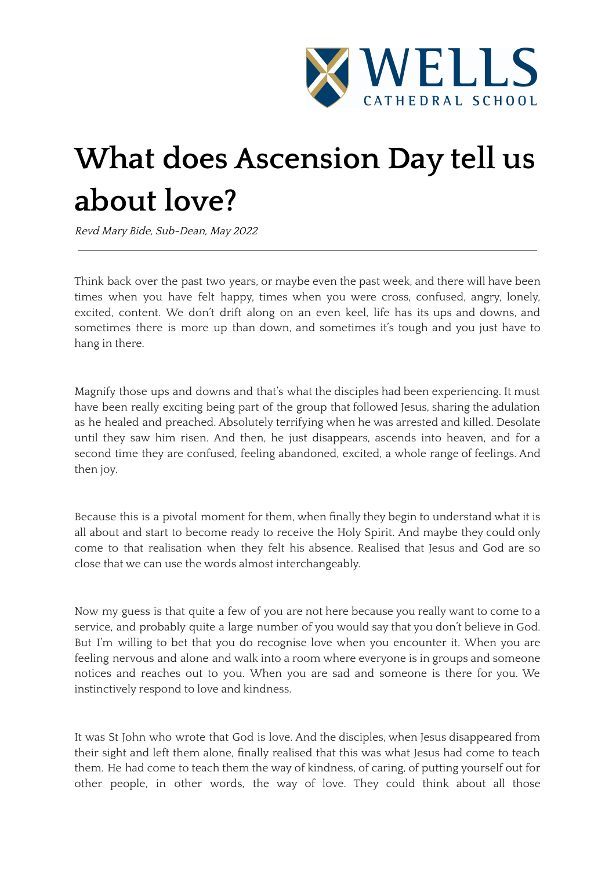

## **What does Ascension Day tell us about love?**

Revd Mary Bide, Sub-Dean, May <sup>2022</sup>

Think back over the past two years, or maybe even the past week, and there will have been times when you have felt happy, times when you were cross, confused, angry, lonely, excited, content. We don't drift along on an even keel, life has its ups and downs, and sometimes there is more up than down, and sometimes it's tough and you just have to hang in there.

Magnify those ups and downs and that's what the disciples had been experiencing. It must have been really exciting being part of the group that followed Jesus, sharing the adulation as he healed and preached. Absolutely terrifying when he was arrested and killed. Desolate until they saw him risen. And then, he just disappears, ascends into heaven, and for a second time they are confused, feeling abandoned, excited, a whole range of feelings. And then joy.

Because this is a pivotal moment for them, when finally they begin to understand what it is all about and start to become ready to receive the Holy Spirit. And maybe they could only come to that realisation when they felt his absence. Realised that Jesus and God are so close that we can use the words almost interchangeably.

Now my guess is that quite a few of you are not here because you really want to come to a service, and probably quite a large number of you would say that you don't believe in God. But I'm willing to bet that you do recognise love when you encounter it. When you are feeling nervous and alone and walk into a room where everyone is in groups and someone notices and reaches out to you. When you are sad and someone is there for you. We instinctively respond to love and kindness.

It was St John who wrote that God is love. And the disciples, when Jesus disappeared from their sight and left them alone, finally realised that this was what Jesus had come to teach them. He had come to teach them the way of kindness, of caring, of putting yourself out for other people, in other words, the way of love. They could think about all those